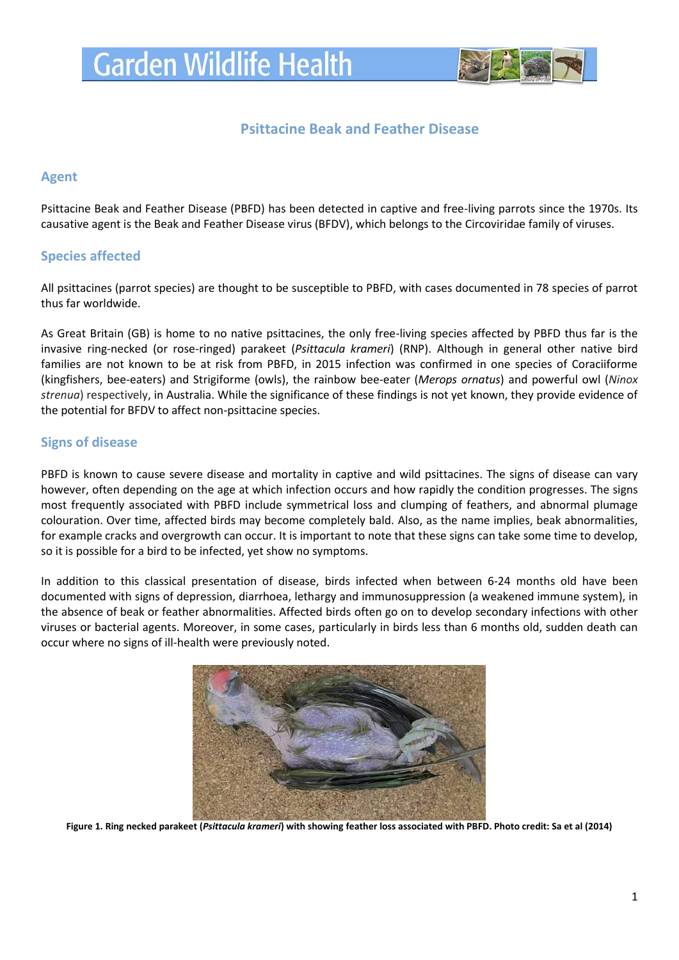

# **Psittacine Beak and Feather Disease**

# **Agent**

Psittacine Beak and Feather Disease (PBFD) has been detected in captive and free-living parrots since the 1970s. Its causative agent is the Beak and Feather Disease virus (BFDV), which belongs to the Circoviridae family of viruses.

# **Species affected**

All psittacines (parrot species) are thought to be susceptible to PBFD, with cases documented in 78 species of parrot thus far worldwide.

As Great Britain (GB) is home to no native psittacines, the only free-living species affected by PBFD thus far is the invasive ring-necked (or rose-ringed) parakeet (*Psittacula krameri*) (RNP). Although in general other native bird families are not known to be at risk from PBFD, in 2015 infection was confirmed in one species of Coraciiforme (kingfishers, bee-eaters) and Strigiforme (owls), the rainbow bee-eater (*Merops ornatus*) and powerful owl (*Ninox strenua*) respectively, in Australia. While the significance of these findings is not yet known, they provide evidence of the potential for BFDV to affect non-psittacine species.

# **Signs of disease**

PBFD is known to cause severe disease and mortality in captive and wild psittacines. The signs of disease can vary however, often depending on the age at which infection occurs and how rapidly the condition progresses. The signs most frequently associated with PBFD include symmetrical loss and clumping of feathers, and abnormal plumage colouration. Over time, affected birds may become completely bald. Also, as the name implies, beak abnormalities, for example cracks and overgrowth can occur. It is important to note that these signs can take some time to develop, so it is possible for a bird to be infected, yet show no symptoms.

In addition to this classical presentation of disease, birds infected when between 6-24 months old have been documented with signs of depression, diarrhoea, lethargy and immunosuppression (a weakened immune system), in the absence of beak or feather abnormalities. Affected birds often go on to develop secondary infections with other viruses or bacterial agents. Moreover, in some cases, particularly in birds less than 6 months old, sudden death can occur where no signs of ill-health were previously noted.



**Figure 1. Ring necked parakeet (***Psittacula krameri***) with showing feather loss associated with PBFD. Photo credit: Sa et al (2014)**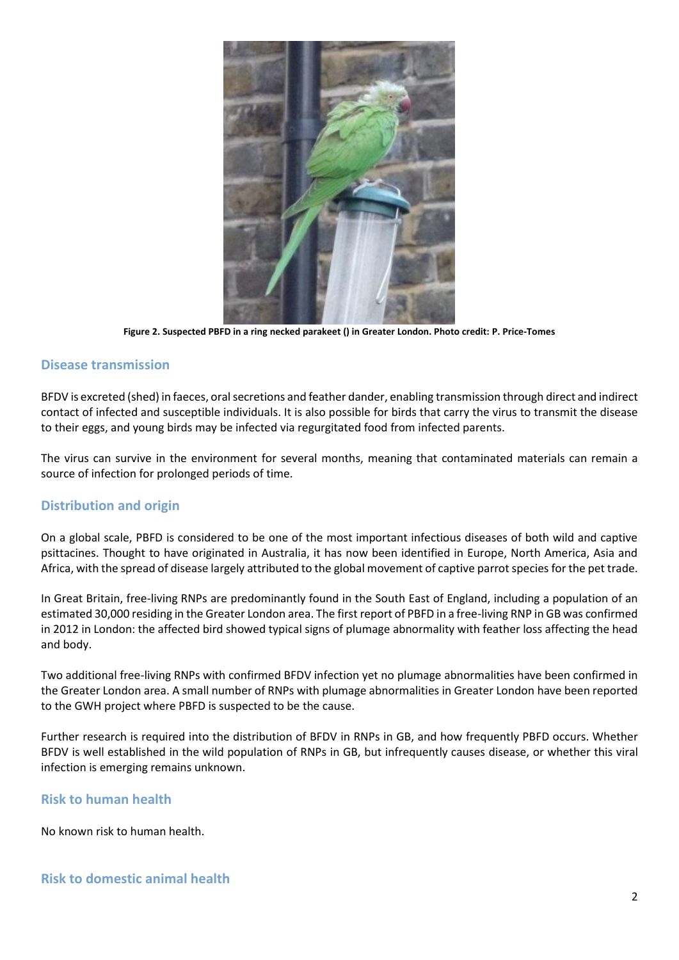

**Figure 2. Suspected PBFD in a ring necked parakeet () in Greater London. Photo credit: P. Price-Tomes**

### **Disease transmission**

BFDV is excreted (shed) in faeces, oral secretions and feather dander, enabling transmission through direct and indirect contact of infected and susceptible individuals. It is also possible for birds that carry the virus to transmit the disease to their eggs, and young birds may be infected via regurgitated food from infected parents.

The virus can survive in the environment for several months, meaning that contaminated materials can remain a source of infection for prolonged periods of time.

#### **Distribution and origin**

On a global scale, PBFD is considered to be one of the most important infectious diseases of both wild and captive psittacines. Thought to have originated in Australia, it has now been identified in Europe, North America, Asia and Africa, with the spread of disease largely attributed to the global movement of captive parrot species for the pet trade.

In Great Britain, free-living RNPs are predominantly found in the South East of England, including a population of an estimated 30,000 residing in the Greater London area. The first report of PBFD in a free-living RNP in GB was confirmed in 2012 in London: the affected bird showed typical signs of plumage abnormality with feather loss affecting the head and body.

Two additional free-living RNPs with confirmed BFDV infection yet no plumage abnormalities have been confirmed in the Greater London area. A small number of RNPs with plumage abnormalities in Greater London have been reported to the GWH project where PBFD is suspected to be the cause.

Further research is required into the distribution of BFDV in RNPs in GB, and how frequently PBFD occurs. Whether BFDV is well established in the wild population of RNPs in GB, but infrequently causes disease, or whether this viral infection is emerging remains unknown.

#### **Risk to human health**

No known risk to human health.